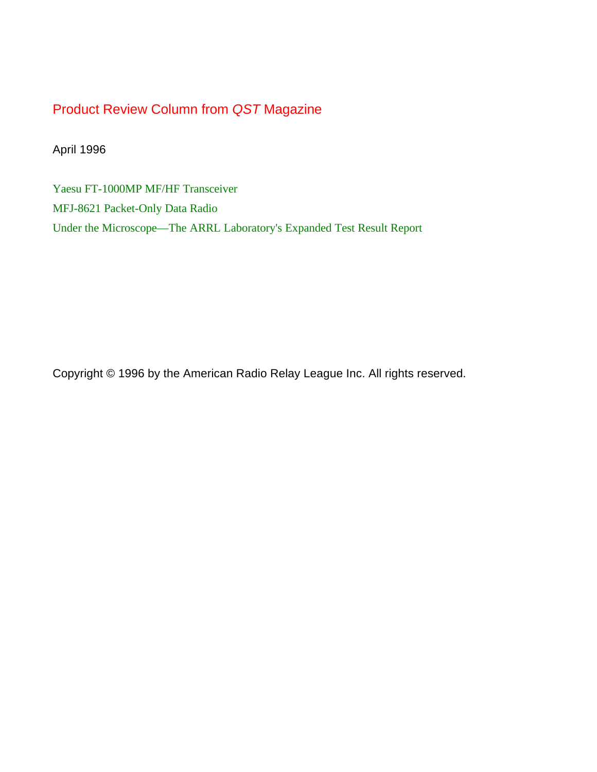### Product Review Column from *QST* Magazine

April 1996

[Yaesu FT-1000MP MF/HF Transceiver](#page-1-0) [MFJ-8621 Packet-Only Data Radio](#page-6-0) [Under the Microscope—The ARRL Laboratory's Expanded Test Result Report](#page-8-0)

Copyright © 1996 by the American Radio Relay League Inc. All rights reserved.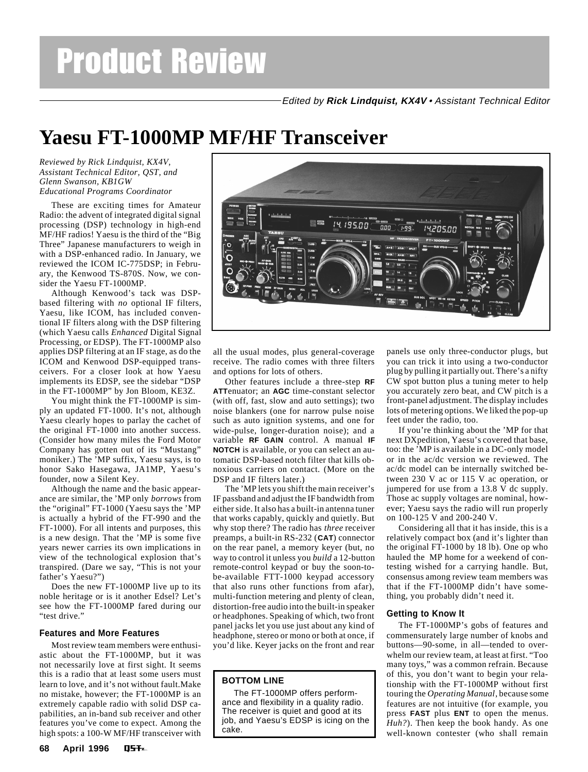# <span id="page-1-0"></span>Product Review

Edited by **Rick Lindquist, KX4V** • Assistant Technical Editor

## **Yaesu FT-1000MP MF/HF Transceiver**

*Reviewed by Rick Lindquist, KX4V, Assistant Technical Editor, QST, and Glenn Swanson, KB1GW Educational Programs Coordinator*

These are exciting times for Amateur Radio: the advent of integrated digital signal processing (DSP) technology in high-end MF/HF radios! Yaesu is the third of the "Big Three" Japanese manufacturers to weigh in with a DSP-enhanced radio. In January, we reviewed the ICOM IC-775DSP; in February, the Kenwood TS-870S. Now, we consider the Yaesu FT-1000MP.

Although Kenwood's tack was DSPbased filtering with *no* optional IF filters, Yaesu, like ICOM, has included conventional IF filters along with the DSP filtering (which Yaesu calls *Enhanced* Digital Signal Processing, or EDSP). The FT-1000MP also applies DSP filtering at an IF stage, as do the ICOM and Kenwood DSP-equipped transceivers. For a closer look at how Yaesu implements its EDSP, see the sidebar "DSP in the FT-1000MP" by Jon Bloom, KE3Z.

You might think the FT-1000MP is simply an updated FT-1000. It's not, although Yaesu clearly hopes to parlay the cachet of the original FT-1000 into another success. (Consider how many miles the Ford Motor Company has gotten out of its "Mustang" moniker.) The 'MP suffix, Yaesu says, is to honor Sako Hasegawa, JA1MP, Yaesu's founder, now a Silent Key.

Although the name and the basic appearance are similar, the 'MP only *borrows* from the "original" FT-1000 (Yaesu says the 'MP is actually a hybrid of the FT-990 and the FT-1000). For all intents and purposes, this is a new design. That the 'MP is some five years newer carries its own implications in view of the technological explosion that's transpired. (Dare we say, "This is not your father's Yaesu?")

Does the new FT-1000MP live up to its noble heritage or is it another Edsel? Let's see how the FT-1000MP fared during our "test drive."

#### **Features and More Features**

Most review team members were enthusiastic about the FT-1000MP, but it was not necessarily love at first sight. It seems this is a radio that at least some users must learn to love, and it's not without fault.Make no mistake, however; the FT-1000MP is an extremely capable radio with solid DSP capabilities, an in-band sub receiver and other features you've come to expect. Among the high spots: a 100-W MF/HF transceiver with



all the usual modes, plus general-coverage receive. The radio comes with three filters and options for lots of others.

Other features include a three-step **RF ATT**enuator; an **AGC** time-constant selector (with off, fast, slow and auto settings); two noise blankers (one for narrow pulse noise such as auto ignition systems, and one for wide-pulse, longer-duration noise); and a variable **RF GAIN** control. A manual **IF NOTCH** is available, or you can select an automatic DSP-based notch filter that kills obnoxious carriers on contact. (More on the DSP and IF filters later.)

The 'MP lets you shift the main receiver's IF passband and adjust the IF bandwidth from either side. It also has a built-in antenna tuner that works capably, quickly and quietly. But why stop there? The radio has *three* receiver preamps, a built-in RS-232 (**CAT**) connector on the rear panel, a memory keyer (but, no way to control it unless you *build* a 12-button remote-control keypad or buy the soon-tobe-available FTT-1000 keypad accessory that also runs other functions from afar), multi-function metering and plenty of clean, distortion-free audio into the built-in speaker or headphones. Speaking of which, two front panel jacks let you use just about any kind of headphone, stereo or mono or both at once, if you'd like. Keyer jacks on the front and rear

### **BOTTOM LINE**

The FT-1000MP offers performance and flexibility in a quality radio. The receiver is quiet and good at its job, and Yaesu's EDSP is icing on the cake.

panels use only three-conductor plugs, but you can trick it into using a two-conductor plug by pulling it partially out. There's a nifty CW spot button plus a tuning meter to help you accurately zero beat, and CW pitch is a front-panel adjustment. The display includes lots of metering options. We liked the pop-up feet under the radio, too.

If you're thinking about the 'MP for that next DXpedition, Yaesu's covered that base, too: the 'MP is available in a DC-only model or in the ac/dc version we reviewed. The ac/dc model can be internally switched between 230 V ac or 115 V ac operation, or jumpered for use from a 13.8 V dc supply. Those ac supply voltages are nominal, however; Yaesu says the radio will run properly on 100-125 V and 200-240 V.

Considering all that it has inside, this is a relatively compact box (and it's lighter than the original FT-1000 by 18 lb). One op who hauled the MP home for a weekend of contesting wished for a carrying handle. But, consensus among review team members was that if the FT-1000MP didn't have something, you probably didn't need it.

#### **Getting to Know It**

The FT-1000MP's gobs of features and commensurately large number of knobs and buttons—90-some, in all—tended to overwhelm our review team, at least at first. "Too many toys," was a common refrain. Because of this, you don't want to begin your relationship with the FT-1000MP without first touring the *Operating Manual*, because some features are not intuitive (for example, you press **FAST** plus **ENT** to open the menus. *Huh?*). Then keep the book handy. As one well-known contester (who shall remain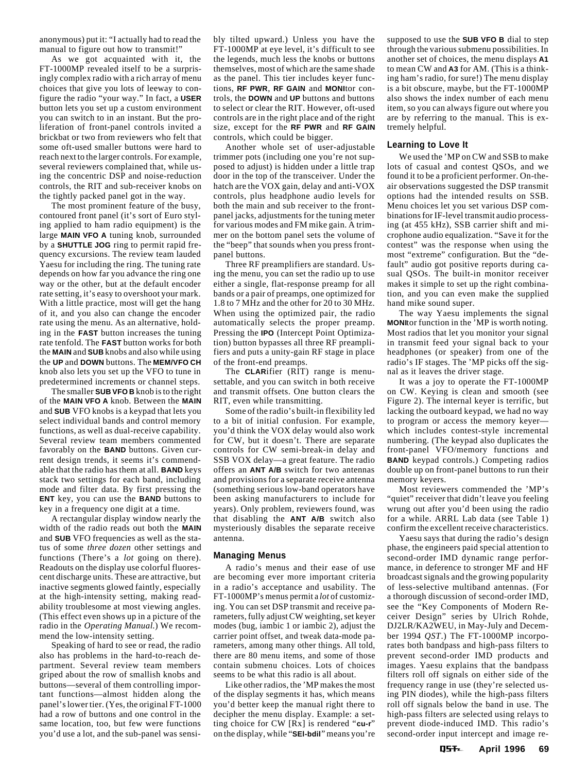anonymous) put it: "I actually had to read the manual to figure out how to transmit!"

As we got acquainted with it, the FT-1000MP revealed itself to be a surprisingly complex radio with a rich array of menu choices that give you lots of leeway to configure the radio "your way." In fact, a **USER** button lets you set up a custom environment you can switch to in an instant. But the proliferation of front-panel controls invited a brickbat or two from reviewers who felt that some oft-used smaller buttons were hard to reach next to the larger controls. For example, several reviewers complained that, while using the concentric DSP and noise-reduction controls, the RIT and sub-receiver knobs on the tightly packed panel got in the way.

The most prominent feature of the busy, contoured front panel (it's sort of Euro styling applied to ham radio equipment) is the large **MAIN VFO A** tuning knob, surrounded by a **SHUTTLE JOG** ring to permit rapid frequency excursions. The review team lauded Yaesu for including the ring. The tuning rate depends on how far you advance the ring one way or the other, but at the default encoder rate setting, it's easy to overshoot your mark. With a little practice, most will get the hang of it, and you also can change the encoder rate using the menu. As an alternative, holding in the **FAST** button increases the tuning rate tenfold. The **FAST** button works for both the **MAIN** and **SUB** knobs and also while using the **UP** and **DOWN** buttons. The **MEM/VFO CH** knob also lets you set up the VFO to tune in predetermined increments or channel steps.

The smaller **SUB VFO B** knob is to the right of the **MAIN VFO A** knob. Between the **MAIN** and **SUB** VFO knobs is a keypad that lets you select individual bands and control memory functions, as well as dual-receive capability. Several review team members commented favorably on the **BAND** buttons. Given current design trends, it seems it's commendable that the radio has them at all. **BAND** keys stack two settings for each band, including mode and filter data. By first pressing the **ENT** key, you can use the **BAND** buttons to key in a frequency one digit at a time.

A rectangular display window nearly the width of the radio reads out both the **MAIN** and **SUB** VFO frequencies as well as the status of some *three dozen* other settings and functions (There's a *lot* going on there). Readouts on the display use colorful fluorescent discharge units. These are attractive, but inactive segments glowed faintly, especially at the high-intensity setting, making readability troublesome at most viewing angles. (This effect even shows up in a picture of the radio in the *Operating Manual*.) We recommend the low-intensity setting.

Speaking of hard to see or read, the radio also has problems in the hard-to-reach department. Several review team members griped about the row of smallish knobs and buttons—several of them controlling important functions—almost hidden along the panel's lower tier. (Yes, the original FT-1000 had a row of buttons and one control in the same location, too, but few were functions you'd use a lot, and the sub-panel was sensibly tilted upward.) Unless you have the FT-1000MP at eye level, it's difficult to see the legends, much less the knobs or buttons themselves, most of which are the same shade as the panel. This tier includes keyer functions, **RF PWR**, **RF GAIN** and **MONI**tor controls, the **DOWN** and **UP** buttons and buttons to select or clear the RIT. However, oft-used controls are in the right place and of the right size, except for the **RF PWR** and **RF GAIN** controls, which could be bigger.

Another whole set of user-adjustable trimmer pots (including one you're not supposed to adjust) is hidden under a little trap door in the top of the transceiver. Under the hatch are the VOX gain, delay and anti-VOX controls, plus headphone audio levels for both the main and sub receiver to the frontpanel jacks, adjustments for the tuning meter for various modes and FM mike gain. A trimmer on the bottom panel sets the volume of the "beep" that sounds when you press frontpanel buttons.

Three RF preamplifiers are standard. Using the menu, you can set the radio up to use either a single, flat-response preamp for all bands or a pair of preamps, one optimized for 1.8 to 7 MHz and the other for 20 to 30 MHz. When using the optimized pair, the radio automatically selects the proper preamp. Pressing the **IPO** (Intercept Point Optimization) button bypasses all three RF preamplifiers and puts a unity-gain RF stage in place of the front-end preamps.

The **CLAR**ifier (RIT) range is menusettable, and you can switch in both receive and transmit offsets. One button clears the RIT, even while transmitting.

Some of the radio's built-in flexibility led to a bit of initial confusion. For example, you'd think the VOX delay would also work for CW, but it doesn't. There are separate controls for CW semi-break-in delay and SSB VOX delay—a great feature. The radio offers an **ANT A/B** switch for two antennas and provisions for a separate receive antenna (something serious low-band operators have been asking manufacturers to include for years). Only problem, reviewers found, was that disabling the **ANT A/B** switch also mysteriously disables the separate receive antenna.

#### **Managing Menus**

A radio's menus and their ease of use are becoming ever more important criteria in a radio's acceptance and usability. The FT-1000MP's menus permit a *lot* of customizing. You can set DSP transmit and receive parameters, fully adjust CW weighting, set keyer modes (bug, iambic 1 or iambic 2), adjust the carrier point offset, and tweak data-mode parameters, among many other things. All told, there are 80 menu items, and some of those contain submenu choices. Lots of choices seems to be what this radio is all about.

Like other radios, the 'MP makes the most of the display segments it has, which means you'd better keep the manual right there to decipher the menu display. Example: a setting choice for CW [Rx] is rendered "**cu-r**" on the display, while "**SEl-bdil**" means you're

supposed to use the **SUB VFO B** dial to step through the various submenu possibilities. In another set of choices, the menu displays **A1** to mean CW and **A3** for AM. (This is a thinking ham's radio, for sure!) The menu display is a bit obscure, maybe, but the FT-1000MP also shows the index number of each menu item, so you can always figure out where you are by referring to the manual. This is extremely helpful.

#### **Learning to Love It**

We used the 'MP on CW and SSB to make lots of casual and contest QSOs, and we found it to be a proficient performer. On-theair observations suggested the DSP transmit options had the intended results on SSB. Menu choices let you set various DSP combinations for IF-level transmit audio processing (at 455 kHz), SSB carrier shift and microphone audio equalization. "Save it for the contest" was the response when using the most "extreme" configuration. But the "default" audio got positive reports during casual QSOs. The built-in monitor receiver makes it simple to set up the right combination, and you can even make the supplied hand mike sound super.

The way Yaesu implements the signal **MONI**tor function in the 'MP is worth noting. Most radios that let you monitor your signal in transmit feed your signal back to your headphones (or speaker) from one of the radio's IF stages. The 'MP picks off the signal as it leaves the driver stage.

It was a joy to operate the FT-1000MP on CW. Keying is clean and smooth (see Figure 2). The internal keyer is terrific, but lacking the outboard keypad, we had no way to program or access the memory keyer which includes contest-style incremental numbering. (The keypad also duplicates the front-panel VFO/memory functions and **BAND** keypad controls.) Competing radios double up on front-panel buttons to run their memory keyers.

Most reviewers commended the 'MP's "quiet" receiver that didn't leave you feeling wrung out after you'd been using the radio for a while. ARRL Lab data (see Table 1) confirm the excellent receive characteristics.

Yaesu says that during the radio's design phase, the engineers paid special attention to second-order IMD dynamic range performance, in deference to stronger MF and HF broadcast signals and the growing popularity of less-selective multiband antennas. (For a thorough discussion of second-order IMD, see the "Key Components of Modern Receiver Design" series by Ulrich Rohde, DJ2LR/KA2WEU, in May-July and December 1994 *QST*.) The FT-1000MP incorporates both bandpass and high-pass filters to prevent second-order IMD products and images. Yaesu explains that the bandpass filters roll off signals on either side of the frequency range in use (they're selected using PIN diodes), while the high-pass filters roll off signals below the band in use. The high-pass filters are selected using relays to prevent diode-induced IMD. This radio's second-order input intercept and image re-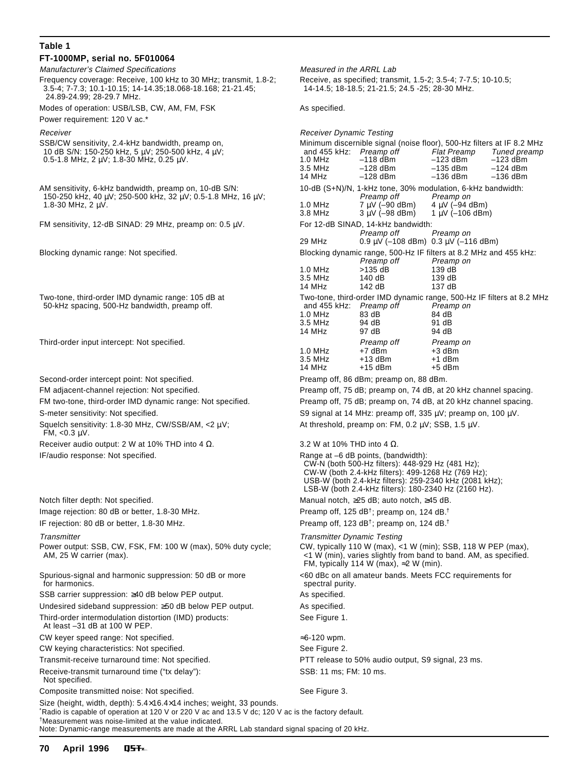#### **Table 1 FT-1000MP, serial no. 5F010064**

Manufacturer's Claimed Specifications Measured in the ARRL Lab

Frequency coverage: Receive, 100 kHz to 30 MHz; transmit, 1.8-2; Receive, as specified; transmit, 1.5-2; 3.5-4; 7-7.5; 10-10.5; 3.5-4; 7-7.3; 10.1-10.15; 14-14.35;18.068-18.168; 21-21.45; 14-14.5; 18-18.5; 21-21.5; 24.5 -25; 28-30 MHz. 24.89-24.99; 28-29.7 MHz.

Modes of operation: USB/LSB, CW, AM, FM, FSK As specified.

Power requirement: 120 V ac.\*

- SSB/CW sensitivity, 2.4-kHz bandwidth, preamp on, 10 dB S/N: 150-250 kHz, 5  $\mu$ V; 250-500 kHz, 4  $\mu$ V; 0.5-1.8 MHz, 2  $\mu$ V; 1.8-30 MHz, 0.25  $\mu$ V.
- AM sensitivity, 6-kHz bandwidth, preamp on, 10-dB S/N: 150-250 kHz, 40 μV; 250-500 kHz, 32 μV; 0.5-1.8 MHz, 16 μV; Preamp off Preamp off Preamp on 1.8-30 MHz, 2 µV. 1.0 MHz 7 µV (–90 dBm) 4 µV (–94 dBm)

Undesired sideband suppression: ≥50 dB below PEP output. As specified.

Third-order intermodulation distortion (IMD) products: See Figure 1.

At least –31 dB at 100 W PEP.

CW keyer speed range: Not specified. The set of the set of the set of the set of the set of the set of the set of the set of the set of the set of the set of the set of the set of the set of the set of the set of the set

CW keying characteristics: Not specified. The second see Figure 2.

Not specified.

Composite transmitted noise: Not specified. The second seed Figure 3.

Size (height, width, depth): 5.4×16.4×14 inches; weight, 33 pounds. \*Radio is capable of operation at 120 V or 220 V ac and 13.5 V dc; 120 V ac is the factory default. †Measurement was noise-limited at the value indicated.

Note: Dynamic-range measurements are made at the ARRL Lab standard signal spacing of 20 kHz.

| Receiver                                                                                                                                                        | <b>Receiver Dynamic Testing</b>                                                                                                                                                                                                                                 |                                                                                                                                                                                                                           |                                                              |                                                        |  |  |
|-----------------------------------------------------------------------------------------------------------------------------------------------------------------|-----------------------------------------------------------------------------------------------------------------------------------------------------------------------------------------------------------------------------------------------------------------|---------------------------------------------------------------------------------------------------------------------------------------------------------------------------------------------------------------------------|--------------------------------------------------------------|--------------------------------------------------------|--|--|
| SSB/CW sensitivity, 2.4-kHz bandwidth, preamp on,<br>10 dB S/N: 150-250 kHz, 5 μV; 250-500 kHz, 4 μV;<br>0.5-1.8 MHz, 2 $\mu$ V; 1.8-30 MHz, 0.25 $\mu$ V.      | and 455 kHz: Preamp off<br>$1.0$ MHz<br>3.5 MHz<br>14 MHz                                                                                                                                                                                                       | Minimum discernible signal (noise floor), 500-Hz filters at IF 8.2 MHz<br>$-118$ dBm<br>$-128$ dBm<br>$-128$ dBm                                                                                                          | <b>Flat Preamp</b><br>$-123$ dBm<br>$-135$ dBm<br>$-136$ dBm | Tuned preamp<br>$-123$ dBm<br>$-124$ dBm<br>$-136$ dBm |  |  |
| AM sensitivity, 6-kHz bandwidth, preamp on, 10-dB S/N:<br>150-250 kHz, 40 $\mu$ V; 250-500 kHz, 32 $\mu$ V; 0.5-1.8 MHz, 16 $\mu$ V;<br>1.8-30 MHz, $2 \mu V$ . | 10-dB (S+N)/N, 1-kHz tone, 30% modulation, 6-kHz bandwidth:<br>Preamp off<br>Preamp on<br>$7 \mu V (-90 dBm)$<br>$4 \mu V$ (-94 dBm)<br>$1.0$ MHz<br>$3 \mu V$ (-98 dBm)<br>$1 \mu V$ (-106 dBm)<br>3.8 MHz                                                     |                                                                                                                                                                                                                           |                                                              |                                                        |  |  |
| FM sensitivity, 12-dB SINAD: 29 MHz, preamp on: 0.5 $\mu$ V.                                                                                                    | For 12-dB SINAD, 14-kHz bandwidth:<br>Preamp off<br>Preamp on<br>29 MHz<br>$0.9 \mu V$ (-108 dBm) $0.3 \mu V$ (-116 dBm)                                                                                                                                        |                                                                                                                                                                                                                           |                                                              |                                                        |  |  |
| Blocking dynamic range: Not specified.                                                                                                                          | 1.0 MHz<br>3.5 MHz<br>14 MHz                                                                                                                                                                                                                                    | Blocking dynamic range, 500-Hz IF filters at 8.2 MHz and 455 kHz:<br>Preamp off<br>>135 dB<br>140 dB<br>142 dB                                                                                                            | Preamp on<br>139 dB<br>139 dB<br>137 dB                      |                                                        |  |  |
| Two-tone, third-order IMD dynamic range: 105 dB at<br>50-kHz spacing, 500-Hz bandwidth, preamp off.                                                             | and 455 kHz: Preamp off<br>$1.0$ MHz<br>3.5 MHz<br>14 MHz                                                                                                                                                                                                       | Two-tone, third-order IMD dynamic range, 500-Hz IF filters at 8.2 MHz<br>83 dB<br>94 dB<br>97 dB                                                                                                                          | Preamp on<br>84 dB<br>91 dB<br>94 dB                         |                                                        |  |  |
| Third-order input intercept: Not specified.                                                                                                                     | 1.0 MHz<br>3.5 MHz<br>14 MHz                                                                                                                                                                                                                                    | Preamp off<br>+7 dBm<br>$+13$ dBm<br>$+15$ dBm                                                                                                                                                                            | Preamp on<br>$+3$ dBm<br>+1 dBm<br>$+5$ dBm                  |                                                        |  |  |
| Second-order intercept point: Not specified.                                                                                                                    | Preamp off, 86 dBm; preamp on, 88 dBm.                                                                                                                                                                                                                          |                                                                                                                                                                                                                           |                                                              |                                                        |  |  |
| FM adjacent-channel rejection: Not specified.                                                                                                                   | Preamp off, 75 dB; preamp on, 74 dB, at 20 kHz channel spacing.                                                                                                                                                                                                 |                                                                                                                                                                                                                           |                                                              |                                                        |  |  |
| FM two-tone, third-order IMD dynamic range: Not specified.                                                                                                      | Preamp off, 75 dB; preamp on, 74 dB, at 20 kHz channel spacing.                                                                                                                                                                                                 |                                                                                                                                                                                                                           |                                                              |                                                        |  |  |
| S-meter sensitivity: Not specified.                                                                                                                             | S9 signal at 14 MHz: preamp off, $335 \mu V$ ; preamp on, $100 \mu V$ .                                                                                                                                                                                         |                                                                                                                                                                                                                           |                                                              |                                                        |  |  |
| Squelch sensitivity: 1.8-30 MHz, CW/SSB/AM, <2 µV;<br>FM, $<$ 0.3 $\mu$ V.                                                                                      | At threshold, preamp on: FM, $0.2 \mu V$ ; SSB, $1.5 \mu V$ .                                                                                                                                                                                                   |                                                                                                                                                                                                                           |                                                              |                                                        |  |  |
| Receiver audio output: 2 W at 10% THD into 4 $\Omega$ .                                                                                                         | 3.2 W at 10% THD into 4 $\Omega$ .                                                                                                                                                                                                                              |                                                                                                                                                                                                                           |                                                              |                                                        |  |  |
| IF/audio response: Not specified.                                                                                                                               | Range at -6 dB points, (bandwidth):<br>CW-N (both 500-Hz filters): 448-929 Hz (481 Hz);<br>CW-W (both 2.4-kHz filters): 499-1268 Hz (769 Hz);<br>USB-W (both 2.4-kHz filters): 259-2340 kHz (2081 kHz);<br>LSB-W (both 2.4-kHz filters): 180-2340 Hz (2160 Hz). |                                                                                                                                                                                                                           |                                                              |                                                        |  |  |
| Notch filter depth: Not specified.                                                                                                                              |                                                                                                                                                                                                                                                                 | Manual notch, ≥25 dB; auto notch, ≥45 dB.                                                                                                                                                                                 |                                                              |                                                        |  |  |
| Image rejection: 80 dB or better, 1.8-30 MHz.                                                                                                                   |                                                                                                                                                                                                                                                                 | Preamp off, 125 dB <sup>†</sup> ; preamp on, 124 dB. <sup>†</sup>                                                                                                                                                         |                                                              |                                                        |  |  |
| IF rejection: 80 dB or better, 1.8-30 MHz.                                                                                                                      |                                                                                                                                                                                                                                                                 | Preamp off, 123 $dB^{\dagger}$ ; preamp on, 124 dB. <sup>†</sup>                                                                                                                                                          |                                                              |                                                        |  |  |
| Transmitter<br>Power output: SSB, CW, FSK, FM: 100 W (max), 50% duty cycle;<br>AM, 25 W carrier (max).                                                          |                                                                                                                                                                                                                                                                 | <b>Transmitter Dynamic Testing</b><br>CW, typically 110 W (max), <1 W (min); SSB, 118 W PEP (max),<br><1 W (min), varies slightly from band to band. AM, as specified.<br>FM, typically 114 W (max), $\approx$ 2 W (min). |                                                              |                                                        |  |  |
| Spurious-signal and harmonic suppression: 50 dB or more<br>for harmonics.                                                                                       |                                                                                                                                                                                                                                                                 | <60 dBc on all amateur bands. Meets FCC requirements for<br>spectral purity.                                                                                                                                              |                                                              |                                                        |  |  |
| SSB carrier suppression: ≥40 dB below PEP output.                                                                                                               | As specified.                                                                                                                                                                                                                                                   |                                                                                                                                                                                                                           |                                                              |                                                        |  |  |
|                                                                                                                                                                 |                                                                                                                                                                                                                                                                 |                                                                                                                                                                                                                           |                                                              |                                                        |  |  |

Transmit-receive turnaround time: Not specified. PTT release to 50% audio output, S9 signal, 23 ms. Receive-transmit turnaround time ("tx delay"): SSB: 11 ms; FM: 10 ms.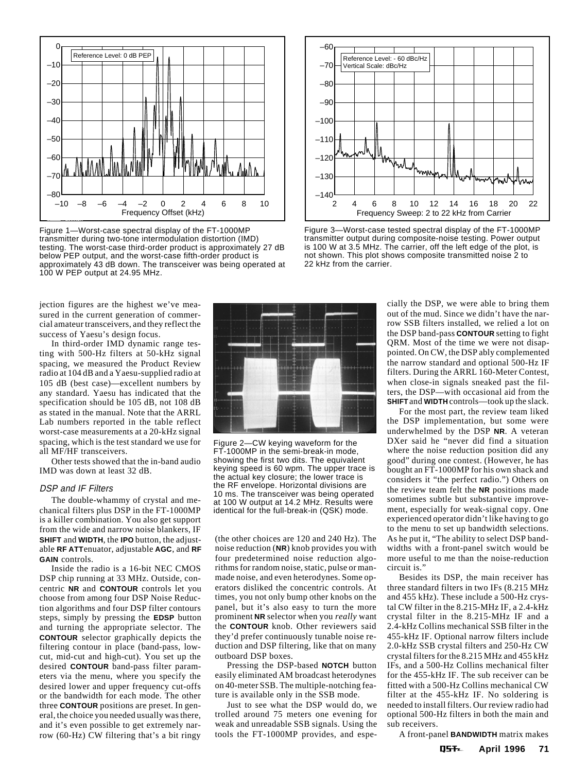

Figure 1—Worst-case spectral display of the FT-1000MP transmitter during two-tone intermodulation distortion (IMD) testing. The worst-case third-order product is approximately 27 dB below PEP output, and the worst-case fifth-order product is approximately 43 dB down. The transceiver was being operated at 100 W PEP output at 24.95 MHz.



Figure 3—Worst-case tested spectral display of the FT-1000MP transmitter output during composite-noise testing. Power output is 100 W at 3.5 MHz. The carrier, off the left edge of the plot, is not shown. This plot shows composite transmitted noise 2 to 22 kHz from the carrier.

jection figures are the highest we've measured in the current generation of commercial amateur transceivers, and they reflect the success of Yaesu's design focus.

In third-order IMD dynamic range testing with 500-Hz filters at 50-kHz signal spacing, we measured the Product Review radio at 104 dB and a Yaesu-supplied radio at 105 dB (best case)—excellent numbers by any standard. Yaesu has indicated that the specification should be 105 dB, not 108 dB as stated in the manual. Note that the ARRL Lab numbers reported in the table reflect worst-case measurements at a 20-kHz signal spacing, which is the test standard we use for all MF/HF transceivers.

Other tests showed that the in-band audio IMD was down at least 32 dB.

#### DSP and IF Filters

The double-whammy of crystal and mechanical filters plus DSP in the FT-1000MP is a killer combination. You also get support from the wide and narrow noise blankers, IF **SHIFT** and **WIDTH**, the **IPO** button, the adjustable **RF ATT**enuator, adjustable **AGC**, and **RF GAIN** controls.

Inside the radio is a 16-bit NEC CMOS DSP chip running at 33 MHz. Outside, concentric **NR** and **CONTOUR** controls let you choose from among four DSP Noise Reduction algorithms and four DSP filter contours steps, simply by pressing the **EDSP** button and turning the appropriate selector. The **CONTOUR** selector graphically depicts the filtering contour in place (band-pass, lowcut, mid-cut and high-cut). You set up the desired **CONTOUR** band-pass filter parameters via the menu, where you specify the desired lower and upper frequency cut-offs or the bandwidth for each mode. The other three **CONTOUR** positions are preset. In general, the choice you needed usually was there, and it's even possible to get extremely narrow (60-Hz) CW filtering that's a bit ringy



Figure 2—CW keying waveform for the FT-1000MP in the semi-break-in mode, showing the first two dits. The equivalent keying speed is 60 wpm. The upper trace is the actual key closure; the lower trace is the RF envelope. Horizontal divisions are 10 ms. The transceiver was being operated at 100 W output at 14.2 MHz. Results were identical for the full-break-in (QSK) mode.

(the other choices are 120 and 240 Hz). The noise reduction (**NR**) knob provides you with four predetermined noise reduction algorithms for random noise, static, pulse or manmade noise, and even heterodynes. Some operators disliked the concentric controls. At times, you not only bump other knobs on the panel, but it's also easy to turn the more prominent **NR** selector when you *really* want the **CONTOUR** knob. Other reviewers said they'd prefer continuously tunable noise reduction and DSP filtering, like that on many outboard DSP boxes.

Pressing the DSP-based **NOTCH** button easily eliminated AM broadcast heterodynes on 40-meter SSB. The multiple-notching feature is available only in the SSB mode.

Just to see what the DSP would do, we trolled around 75 meters one evening for weak and unreadable SSB signals. Using the tools the FT-1000MP provides, and especially the DSP, we were able to bring them out of the mud. Since we didn't have the narrow SSB filters installed, we relied a lot on the DSP band-pass **CONTOUR** setting to fight QRM. Most of the time we were not disappointed. On CW, the DSP ably complemented the narrow standard and optional 500-Hz IF filters. During the ARRL 160-Meter Contest, when close-in signals sneaked past the filters, the DSP—with occasional aid from the **SHIFT** and **WIDTH** controls—took up the slack.

For the most part, the review team liked the DSP implementation, but some were underwhelmed by the DSP **NR**. A veteran DXer said he "never did find a situation where the noise reduction position did any good" during one contest. (However, he has bought an FT-1000MP for his own shack and considers it "the perfect radio.") Others on the review team felt the **NR** positions made sometimes subtle but substantive improvement, especially for weak-signal copy. One experienced operator didn't like having to go to the menu to set up bandwidth selections. As he put it, "The ability to select DSP bandwidths with a front-panel switch would be more useful to me than the noise-reduction circuit is."

Besides its DSP, the main receiver has three standard filters in two IFs (8.215 MHz and 455 kHz). These include a 500-Hz crystal CW filter in the 8.215-MHz IF, a 2.4-kHz crystal filter in the 8.215-MHz IF and a 2.4-kHz Collins mechanical SSB filter in the 455-kHz IF. Optional narrow filters include 2.0-kHz SSB crystal filters and 250-Hz CW crystal filters for the 8.215 MHz and 455 kHz IFs, and a 500-Hz Collins mechanical filter for the 455-kHz IF. The sub receiver can be fitted with a 500-Hz Collins mechanical CW filter at the 455-kHz IF. No soldering is needed to install filters. Our review radio had optional 500-Hz filters in both the main and sub receivers.

A front-panel **BANDWIDTH** matrix makes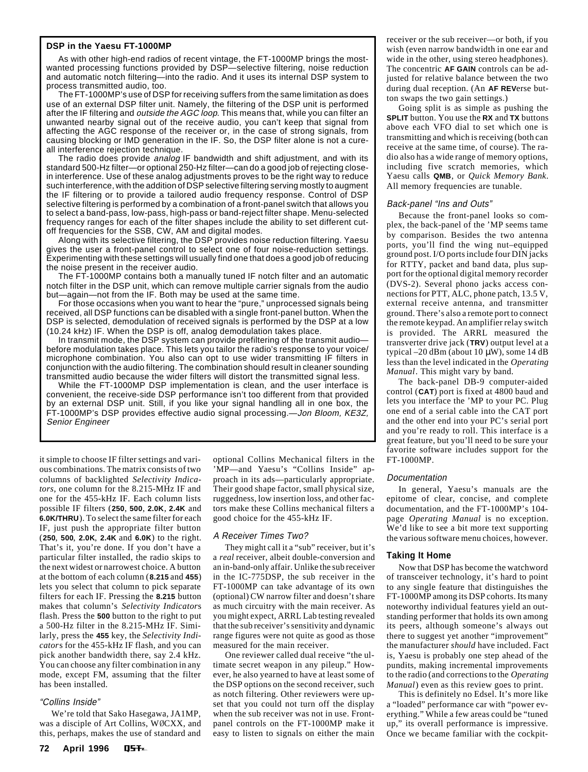#### **DSP in the Yaesu FT-1000MP**

As with other high-end radios of recent vintage, the FT-1000MP brings the mostwanted processing functions provided by DSP—selective filtering, noise reduction and automatic notch filtering—into the radio. And it uses its internal DSP system to process transmitted audio, too.

The FT-1000MP's use of DSP for receiving suffers from the same limitation as does use of an external DSP filter unit. Namely, the filtering of the DSP unit is performed after the IF filtering and outside the AGC loop. This means that, while you can filter an unwanted nearby signal out of the receive audio, you can't keep that signal from affecting the AGC response of the receiver or, in the case of strong signals, from causing blocking or IMD generation in the IF. So, the DSP filter alone is not a cureall interference rejection technique.

The radio does provide analog IF bandwidth and shift adjustment, and with its standard 500-Hz filter—or optional 250-Hz filter—can do a good job of rejecting closein interference. Use of these analog adjustments proves to be the right way to reduce such interference, with the addition of DSP selective filtering serving mostly to augment the IF filtering or to provide a tailored audio frequency response. Control of DSP selective filtering is performed by a combination of a front-panel switch that allows you to select a band-pass, low-pass, high-pass or band-reject filter shape. Menu-selected frequency ranges for each of the filter shapes include the ability to set different cutoff frequencies for the SSB, CW, AM and digital modes.

Along with its selective filtering, the DSP provides noise reduction filtering. Yaesu gives the user a front-panel control to select one of four noise-reduction settings. Experimenting with these settings will usually find one that does a good job of reducing the noise present in the receiver audio.

The FT-1000MP contains both a manually tuned IF notch filter and an automatic notch filter in the DSP unit, which can remove multiple carrier signals from the audio but—again—not from the IF. Both may be used at the same time.

For those occasions when you want to hear the "pure," unprocessed signals being received, all DSP functions can be disabled with a single front-panel button. When the DSP is selected, demodulation of received signals is performed by the DSP at a low (10.24 kHz) IF. When the DSP is off, analog demodulation takes place.

In transmit mode, the DSP system can provide prefiltering of the transmit audio before modulation takes place. This lets you tailor the radio's response to your voice/ microphone combination. You also can opt to use wider transmitting IF filters in conjunction with the audio filtering. The combination should result in cleaner sounding transmitted audio because the wider filters will distort the transmitted signal less.

While the FT-1000MP DSP implementation is clean, and the user interface is convenient, the receive-side DSP performance isn't too different from that provided by an external DSP unit. Still, if you like your signal handling all in one box, the FT-1000MP's DSP provides effective audio signal processing.—Jon Bloom, KE3Z, Senior Engineer

it simple to choose IF filter settings and various combinations. The matrix consists of two columns of backlighted *Selectivity Indicators*, one column for the 8.215-MHz IF and one for the 455-kHz IF. Each column lists possible IF filters (**250**, **500**, **2.0K**, **2.4K** and **6.0K/THRU**). To select the same filter for each IF, just push the appropriate filter button (**250**, **500**, **2.0K**, **2.4K** and **6.0K**) to the right. That's it, you're done. If you don't have a particular filter installed, the radio skips to the next widest or narrowest choice. A button at the bottom of each column (**8.215** and **455**) lets you select that column to pick separate filters for each IF. Pressing the **8.215** button makes that column's *Selectivity Indicator*s flash. Press the **500** button to the right to put a 500-Hz filter in the 8.215-MHz IF. Similarly, press the **455** key, the *Selectivity Indicator*s for the 455-kHz IF flash, and you can pick another bandwidth there, say 2.4 kHz. You can choose any filter combination in any mode, except FM, assuming that the filter has been installed.

#### "Collins Inside"

We're told that Sako Hasegawa, JA1MP, was a disciple of Art Collins, WØCXX, and this, perhaps, makes the use of standard and

optional Collins Mechanical filters in the 'MP—and Yaesu's "Collins Inside" approach in its ads—particularly appropriate. Their good shape factor, small physical size, ruggedness, low insertion loss, and other factors make these Collins mechanical filters a good choice for the 455-kHz IF.

#### A Receiver Times Two?

They might call it a "sub" receiver, but it's a *real* receiver, albeit double-conversion and an in-band-only affair. Unlike the sub receiver in the IC-775DSP, the sub receiver in the FT-1000MP can take advantage of its own (optional) CW narrow filter and doesn't share as much circuitry with the main receiver. As you might expect, ARRL Lab testing revealed that the sub receiver's sensitivity and dynamic range figures were not quite as good as those measured for the main receiver.

One reviewer called dual receive "the ultimate secret weapon in any pileup." However, he also yearned to have at least some of the DSP options on the second receiver, such as notch filtering. Other reviewers were upset that you could not turn off the display when the sub receiver was not in use. Frontpanel controls on the FT-1000MP make it easy to listen to signals on either the main receiver or the sub receiver—or both, if you wish (even narrow bandwidth in one ear and wide in the other, using stereo headphones). The concentric **AF GAIN** controls can be adjusted for relative balance between the two during dual reception. (An **AF REV**erse button swaps the two gain settings.)

Going split is as simple as pushing the **SPLIT** button. You use the **RX** and **TX** buttons above each VFO dial to set which one is transmitting and which is receiving (both can receive at the same time, of course). The radio also has a wide range of memory options, including five scratch memories, which Yaesu calls **QMB**, or *Quick Memory Bank*. All memory frequencies are tunable.

#### Back-panel "Ins and Outs"

Because the front-panel looks so complex, the back-panel of the 'MP seems tame by comparison. Besides the two antenna ports, you'll find the wing nut–equipped ground post. I/O ports include four DIN jacks for RTTY, packet and band data, plus support for the optional digital memory recorder (DVS-2). Several phono jacks access connections for PTT, ALC, phone patch, 13.5 V, external receive antenna, and transmitter ground. There's also a remote port to connect the remote keypad. An amplifier relay switch is provided. The ARRL measured the transverter drive jack (**TRV**) output level at a typical  $-20$  dBm (about 10  $\mu$ W), some 14 dB less than the level indicated in the *Operating Manual*. This might vary by band.

The back-panel DB-9 computer-aided control (**CAT**) port is fixed at 4800 baud and lets you interface the 'MP to your PC. Plug one end of a serial cable into the CAT port and the other end into your PC's serial port and you're ready to roll. This interface is a great feature, but you'll need to be sure your favorite software includes support for the FT-1000MP.

#### Documentation

In general, Yaesu's manuals are the epitome of clear, concise, and complete documentation, and the FT-1000MP's 104 page *Operating Manual* is no exception. We'd like to see a bit more text supporting the various software menu choices, however.

#### **Taking It Home**

Now that DSP has become the watchword of transceiver technology, it's hard to point to any single feature that distinguishes the FT-1000MP among its DSP cohorts. Its many noteworthy individual features yield an outstanding performer that holds its own among its peers, although someone's always out there to suggest yet another "improvement" the manufacturer *should* have included. Fact is, Yaesu is probably one step ahead of the pundits, making incremental improvements to the radio (and corrections to the *Operating Manual*) even as this review goes to print.

This is definitely no Edsel. It's more like a "loaded" performance car with "power everything." While a few areas could be "tuned up," its overall performance is impressive. Once we became familiar with the cockpit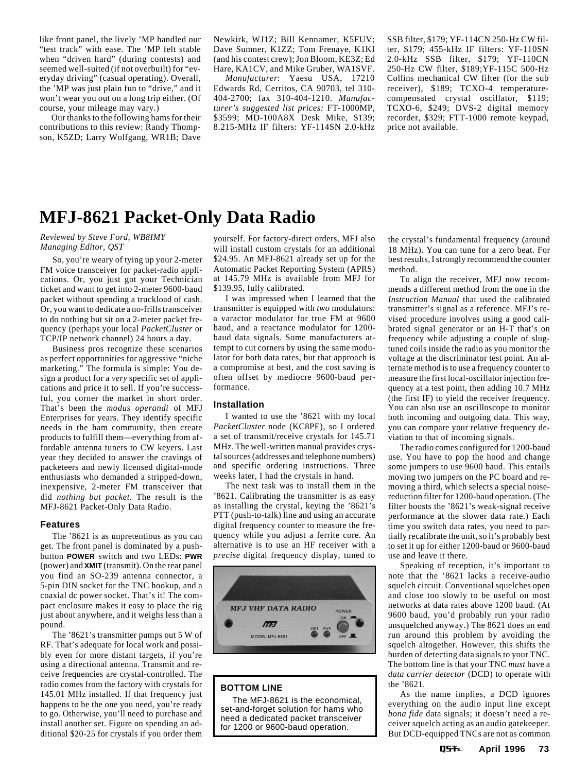<span id="page-6-0"></span>like front panel, the lively 'MP handled our "test track" with ease. The 'MP felt stable when "driven hard" (during contests) and seemed well-suited (if not overbuilt) for "everyday driving" (casual operating). Overall, the 'MP was just plain fun to "drive," and it won't wear you out on a long trip either. (Of course, your mileage may vary.)

Our thanks to the following hams for their contributions to this review: Randy Thompson, K5ZD; Larry Wolfgang, WR1B; Dave Newkirk, WJ1Z; Bill Kennamer, K5FUV; Dave Sumner, K1ZZ; Tom Frenaye, K1KI (and his contest crew); Jon Bloom, KE3Z; Ed Hare, KA1CV, and Mike Gruber, WA1SVF.

*Manufacturer*: Yaesu USA, 17210 Edwards Rd, Cerritos, CA 90703, tel 310- 404-2700; fax 310-404-1210. *Manufacturer's suggested list prices:* FT-1000MP, \$3599; MD-100A8X Desk Mike, \$139; 8.215-MHz IF filters: YF-114SN 2.0-kHz SSB filter, \$179; YF-114CN 250-Hz CW filter, \$179; 455-kHz IF filters: YF-110SN 2.0-kHz SSB filter, \$179; YF-110CN 250-Hz CW filter, \$189;YF-115C 500-Hz Collins mechanical CW filter (for the sub receiver), \$189; TCXO-4 temperaturecompensated crystal oscillator, \$119; TCXO-6, \$249; DVS-2 digital memory recorder, \$329; FTT-1000 remote keypad, price not available.

### **MFJ-8621 Packet-Only Data Radio**

#### *Reviewed by Steve Ford, WB8IMY Managing Editor, QST*

So, you're weary of tying up your 2-meter FM voice transceiver for packet-radio applications. Or, you just got your Technician ticket and want to get into 2-meter 9600-baud packet without spending a truckload of cash. Or, you want to dedicate a no-frills transceiver to do nothing but sit on a 2-meter packet frequency (perhaps your local *PacketCluster* or TCP/IP network channel) 24 hours a day.

Business pros recognize these scenarios as perfect opportunities for aggressive "niche marketing." The formula is simple: You design a product for a *very* specific set of applications and price it to sell. If you're successful, you corner the market in short order. That's been the *modus operandi* of MFJ Enterprises for years. They identify specific needs in the ham community, then create products to fulfill them—everything from affordable antenna tuners to CW keyers. Last year they decided to answer the cravings of packeteers and newly licensed digital-mode enthusiasts who demanded a stripped-down, inexpensive, 2-meter FM transceiver that did *nothing but packet*. The result is the MFJ-8621 Packet-Only Data Radio.

#### **Features**

The '8621 is as unpretentious as you can get. The front panel is dominated by a pushbutton **POWER** switch and two LEDs: **PWR** (power) and **XMIT** (transmit). On the rear panel you find an SO-239 antenna connector, a 5-pin DIN socket for the TNC hookup, and a coaxial dc power socket. That's it! The compact enclosure makes it easy to place the rig just about anywhere, and it weighs less than a pound.

The '8621's transmitter pumps out 5 W of RF. That's adequate for local work and possibly even for more distant targets, if you're using a directional antenna. Transmit and receive frequencies are crystal-controlled. The radio comes from the factory with crystals for 145.01 MHz installed. If that frequency just happens to be the one you need, you're ready to go. Otherwise, you'll need to purchase and install another set. Figure on spending an additional \$20-25 for crystals if you order them

yourself. For factory-direct orders, MFJ also will install custom crystals for an additional \$24.95. An MFJ-8621 already set up for the Automatic Packet Reporting System (APRS) at 145.79 MHz is available from MFJ for \$139.95, fully calibrated.

I was impressed when I learned that the transmitter is equipped with *two* modulators: a varactor modulator for true FM at 9600 baud, and a reactance modulator for 1200 baud data signals. Some manufacturers attempt to cut corners by using the same modulator for both data rates, but that approach is a compromise at best, and the cost saving is often offset by mediocre 9600-baud performance.

#### **Installation**

I wanted to use the '8621 with my local *PacketCluster* node (KC8PE), so I ordered a set of transmit/receive crystals for 145.71 MHz. The well-written manual provides crystal sources (addresses and telephone numbers) and specific ordering instructions. Three weeks later, I had the crystals in hand.

The next task was to install them in the '8621. Calibrating the transmitter is as easy as installing the crystal, keying the '8621's PTT (push-to-talk) line and using an accurate digital frequency counter to measure the frequency while you adjust a ferrite core. An alternative is to use an HF receiver with a *precise* digital frequency display, tuned to



#### **BOTTOM LINE**

The MFJ-8621 is the economical, set-and-forget solution for hams who need a dedicated packet transceiver for 1200 or 9600-baud operation.

the crystal's fundamental frequency (around 18 MHz). You can tune for a zero beat. For best results, I strongly recommend the counter method.

To align the receiver, MFJ now recommends a different method from the one in the *Instruction Manual* that used the calibrated transmitter's signal as a reference. MFJ's revised procedure involves using a good calibrated signal generator or an H-T that's on frequency while adjusting a couple of slugtuned coils inside the radio as you monitor the voltage at the discriminator test point. An alternate method is to use a frequency counter to measure the first local-oscillator injection frequency at a test point, then adding 10.7 MHz (the first IF) to yield the receiver frequency. You can also use an oscilloscope to monitor both incoming and outgoing data. This way, you can compare your relative frequency deviation to that of incoming signals.

The radio comes configured for 1200-baud use. You have to pop the hood and change some jumpers to use 9600 baud. This entails moving two jumpers on the PC board and removing a third, which selects a special noisereduction filter for 1200-baud operation. (The filter boosts the '8621's weak-signal receive performance at the slower data rate.) Each time you switch data rates, you need to partially recalibrate the unit, so it's probably best to set it up for either 1200-baud or 9600-baud use and leave it there.

Speaking of reception, it's important to note that the '8621 lacks a receive-audio squelch circuit. Conventional squelches open and close too slowly to be useful on most networks at data rates above 1200 baud. (At 9600 baud, you'd probably run your radio unsquelched anyway.) The 8621 does an end run around this problem by avoiding the squelch altogether. However, this shifts the burden of detecting data signals to your TNC. The bottom line is that your TNC *must* have a *data carrier detector* (DCD) to operate with the '8621.

As the name implies, a DCD ignores everything on the audio input line except *bona fide* data signals; it doesn't need a receiver squelch acting as an audio gatekeeper. But DCD-equipped TNCs are not as common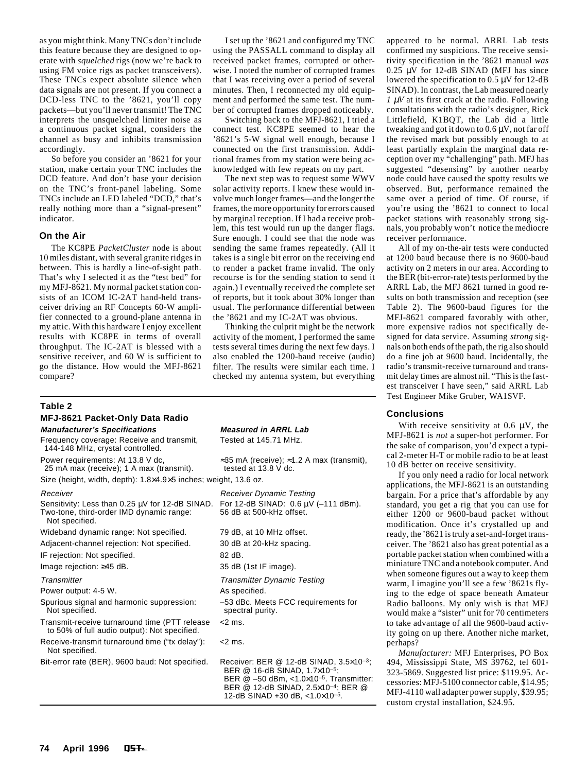as you might think. Many TNCs don't include this feature because they are designed to operate with *squelched* rigs (now we're back to using FM voice rigs as packet transceivers). These TNCs expect absolute silence when data signals are not present. If you connect a DCD-less TNC to the '8621, you'll copy packets—but you'll never transmit! The TNC interprets the unsquelched limiter noise as a continuous packet signal, considers the channel as busy and inhibits transmission accordingly.

So before you consider an '8621 for your station, make certain your TNC includes the DCD feature. And don't base your decision on the TNC's front-panel labeling. Some TNCs include an LED labeled "DCD," that's really nothing more than a "signal-present" indicator.

#### **On the Air**

The KC8PE *PacketCluster* node is about 10 miles distant, with several granite ridges in between. This is hardly a line-of-sight path. That's why I selected it as the "test bed" for my MFJ-8621. My normal packet station consists of an ICOM IC-2AT hand-held transceiver driving an RF Concepts 60-W amplifier connected to a ground-plane antenna in my attic. With this hardware I enjoy excellent results with KC8PE in terms of overall throughput. The IC-2AT is blessed with a sensitive receiver, and 60 W is sufficient to go the distance. How would the MFJ-8621 compare?

#### I set up the '8621 and configured my TNC using the PASSALL command to display all received packet frames, corrupted or otherwise. I noted the number of corrupted frames that I was receiving over a period of several minutes. Then, I reconnected my old equipment and performed the same test. The number of corrupted frames dropped noticeably.

Switching back to the MFJ-8621, I tried a connect test. KC8PE seemed to hear the '8621's 5-W signal well enough, because I connected on the first transmission. Additional frames from my station were being acknowledged with few repeats on my part.

The next step was to request some WWV solar activity reports. I knew these would involve much longer frames—and the longer the frames, the more opportunity for errors caused by marginal reception. If I had a receive problem, this test would run up the danger flags. Sure enough. I could see that the node was sending the same frames repeatedly. (All it takes is a single bit error on the receiving end to render a packet frame invalid. The only recourse is for the sending station to send it again.) I eventually received the complete set of reports, but it took about 30% longer than usual. The performance differential between the '8621 and my IC-2AT was obvious.

Thinking the culprit might be the network activity of the moment, I performed the same tests several times during the next few days. I also enabled the 1200-baud receive (audio) filter. The results were similar each time. I checked my antenna system, but everything

#### **Table 2**

#### **MFJ-8621 Packet-Only Data Radio**

Frequency coverage: Receive and transmit, Tested at 145.71 MHz.

144-148 MHz, crystal controlled.

25 mA max (receive); 1 A max (transmit).

Sensitivity: Less than 0.25 µV for 12-dB SINAD. For 12-dB SINAD: 0.6 µV (-111 dBm).<br>Two-tone, third-order IMD dynamic range: 56 dB at 500-kHz offset. Two-tone, third-order IMD dynamic range: Not specified.

Wideband dynamic range: Not specified. 79 dB, at 10 MHz offset.

Adjacent-channel rejection: Not specified. 30 dB at 20-kHz spacing.

IF rejection: Not specified. 82 dB.

Image rejection: ≥45 dB. 35 dB (1st IF image).

Power output: 4-5 W. As specified.

- Spurious signal and harmonic suppression: –53 dBc. Meets FCC requirements for Not specified. Some spectral purity.
- Transmit-receive turnaround time (PTT release <2 ms. to 50% of full audio output): Not specified.

Receive-transmit turnaround time ("tx delay"): <2 ms. Not specified.

#### **Manufacturer's Specifications Measured in ARRL Lab**

Power requirements: At 13.8 V dc,  $\approx$ 35 mA (receive);  $\approx$ 1.2 A max (transmit), 25 mA max (receive); 1 A max (transmit). tested at 13.8 V dc.

Size (height, width, depth): 1.8×4.9×5 inches; weight, 13.6 oz.

Receiver **Receiver** Receiver Dynamic Testing

Transmitter Transmitter Dynamic Testing

Bit-error rate (BER), 9600 baud: Not specified. Receiver: BER @ 12-dB SINAD, 3.5×10-3; BER @ 16-dB SINAD, 1.7×10–5; BER @ –50 dBm, <1.0×10–5. Transmitter: BER @ 12-dB SINAD, 2.5×10–4; BER @ 12-dB SINAD +30 dB, <1.0×10–5.

appeared to be normal. ARRL Lab tests confirmed my suspicions. The receive sensitivity specification in the '8621 manual *was* 0.25 µV for 12-dB SINAD (MFJ has since lowered the specification to 0.5 µV for 12-dB SINAD). In contrast, the Lab measured nearly  $1 \mu V$  at its first crack at the radio. Following consultations with the radio's designer, Rick Littlefield, K1BQT, the Lab did a little tweaking and got it down to 0.6 µV, not far off the revised mark but possibly enough to at least partially explain the marginal data reception over my "challenging" path. MFJ has suggested "desensing" by another nearby node could have caused the spotty results we observed. But, performance remained the same over a period of time. Of course, if you're using the '8621 to connect to local packet stations with reasonably strong signals, you probably won't notice the mediocre receiver performance.

All of my on-the-air tests were conducted at 1200 baud because there is no 9600-baud activity on 2 meters in our area. According to the BER (bit-error-rate) tests performed by the ARRL Lab, the MFJ 8621 turned in good results on both transmission and reception (see Table 2). The 9600-baud figures for the MFJ-8621 compared favorably with other, more expensive radios not specifically designed for data service. Assuming *strong* signals on both ends of the path, the rig also should do a fine job at 9600 baud. Incidentally, the radio's transmit-receive turnaround and transmit delay times are almost nil. "This is the fastest transceiver I have seen," said ARRL Lab Test Engineer Mike Gruber, WA1SVF.

#### **Conclusions**

With receive sensitivity at 0.6  $\mu$ V, the MFJ-8621 is *not* a super-hot performer. For the sake of comparison, you'd expect a typical 2-meter H-T or mobile radio to be at least 10 dB better on receive sensitivity.

If you only need a radio for local network applications, the MFJ-8621 is an outstanding bargain. For a price that's affordable by any standard, you get a rig that you can use for either 1200 or 9600-baud packet without modification. Once it's crystalled up and ready, the '8621 is truly a set-and-forget transceiver. The '8621 also has great potential as a portable packet station when combined with a miniature TNC and a notebook computer. And when someone figures out a way to keep them warm, I imagine you'll see a few '8621s flying to the edge of space beneath Amateur Radio balloons. My only wish is that MFJ would make a "sister" unit for 70 centimeters to take advantage of all the 9600-baud activity going on up there. Another niche market, perhaps?

*Manufacturer:* MFJ Enterprises, PO Box 494, Mississippi State, MS 39762, tel 601- 323-5869. Suggested list price: \$119.95. Accessories: MFJ-5100 connector cable, \$14.95; MFJ-4110 wall adapter power supply, \$39.95; custom crystal installation, \$24.95.